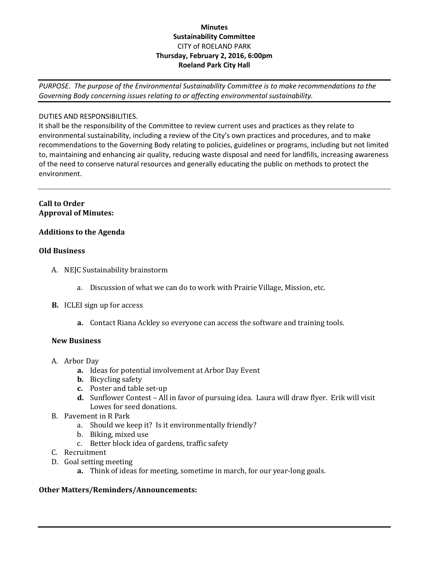# **Minutes Sustainability Committee** CITY of ROELAND PARK **Thursday, February 2, 2016, 6:00pm Roeland Park City Hall**

*PURPOSE. The purpose of the Environmental Sustainability Committee is to make recommendations to the Governing Body concerning issues relating to or affecting environmental sustainability.*

## DUTIES AND RESPONSIBILITIES.

It shall be the responsibility of the Committee to review current uses and practices as they relate to environmental sustainability, including a review of the City's own practices and procedures, and to make recommendations to the Governing Body relating to policies, guidelines or programs, including but not limited to, maintaining and enhancing air quality, reducing waste disposal and need for landfills, increasing awareness of the need to conserve natural resources and generally educating the public on methods to protect the environment.

## **Call to Order Approval of Minutes:**

# **Additions to the Agenda**

#### **Old Business**

- A. NEJC Sustainability brainstorm
	- a. Discussion of what we can do to work with Prairie Village, Mission, etc.
- **B.** ICLEI sign up for access
	- **a.** Contact Riana Ackley so everyone can access the software and training tools.

#### **New Business**

- A. Arbor Day
	- **a.** Ideas for potential involvement at Arbor Day Event
	- **b.** Bicycling safety
	- **c.** Poster and table set-up
	- **d.** Sunflower Contest All in favor of pursuing idea. Laura will draw flyer. Erik will visit Lowes for seed donations.
- B. Pavement in R Park
	- a. Should we keep it? Is it environmentally friendly?
	- b. Biking, mixed use
	- c. Better block idea of gardens, traffic safety
- C. Recruitment
- D. Goal setting meeting
	- **a.** Think of ideas for meeting, sometime in march, for our year-long goals.

#### **Other Matters/Reminders/Announcements:**